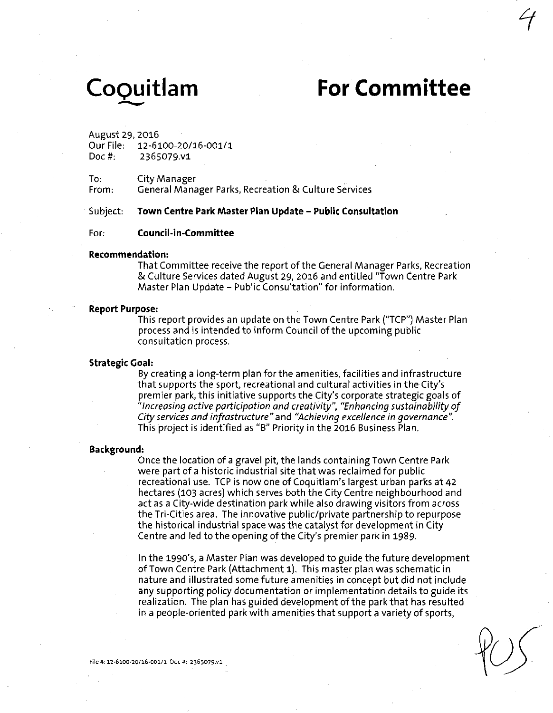# **CoQuitlam For Committee**

August 29, 2016

| Our File: | 12-6100-20/16-001/1 |
|-----------|---------------------|
| Doc #:    | 2365079.v1          |

To: City Manager

**From: General Manager Parks, Recreation & Culture Services** 

### **Subject: Town Centre Park Master Plan Update - Public Consultation**

### **For: Council-in-Committee**

### **Recommendation:**

That Committee receive the report of the General Manager Parks, Recreation & Culture Services dated August 29, 2016 and entitled "Town Centre Park Master Plan Update - Public Consultation" for information.

### **Report Purpose:**

This report provides an update on the Town Centre Park ("TCP") Master Plan process and is intended to inform Council of the upcoming public consultation process.

### **Strategic Goal:**

By creating a long-term plan for the amenities, facilities and infrastructure that supports the sport, recreational and cultural activities in the City's premier park, this initiative supports the City's corporate strategic goals of "Increasing active participation and creativity", "Enhancing sustainability of City services and infrastructure" and "Achieving excellence in governance". This project is identified as "B" Priority in the 2016 Business Plan.

### **Background:**

Once the location of a gravel pit, the lands containing Town Centre Park were part of a historic industrial site that was reclaimed for public recreational use. TCP is now one of Coquitlam's largest urban parks at 42 hectares (103 acres) which serves both the City Centre neighbourhood and act as a City-wide destination park while also drawing visitors from across the Tri-Cities area. The innovative public/private partnership to repurpose the historical industrial space was the catalyst for development in City Centre and led to the opening of the City's premier park in 1989.

In the 1990's, a Master Plan was developed to guide the future development of Town Centre Park (Attachment 1). This master plan was schematic in nature and illustrated some future amenities in concept but did not include any supporting policy documentation or implementation details to guide its realization. The plan has guided development of the park that has resulted in a people-oriented park with amenities that support a variety of sports,

File#.12-6100-20/16-001/1 Doc#: 2365079.V1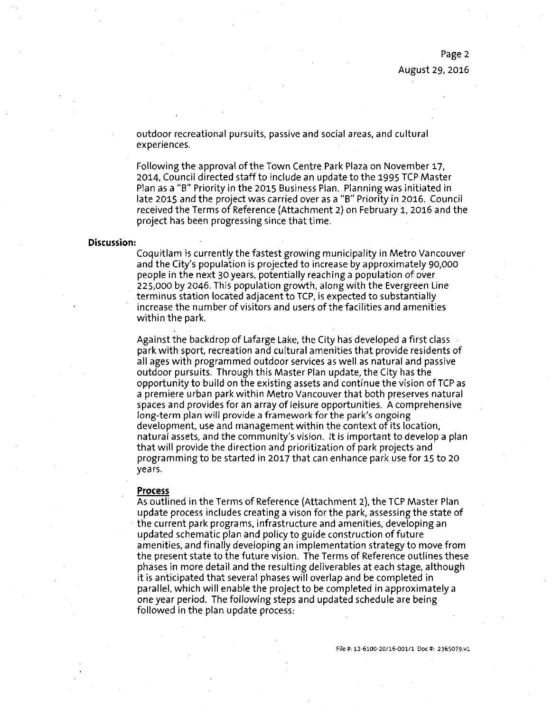outdoor recreational pursuits, passive and social areas, and cultural experiences.

Following the approval of the Town Centre Park Plaza on November 17, 2014, Council directed staff to include an update to the 1995 TCP Master Plan as a "B" Priority in the 2015 Business Plan. Planning was initiated in late 2015 and the project was carried over as a "B" Priority in 2016. Council received the Terms of Reference (Attachment 2) on February 1, 2016 and the project has been progressing since that time.

### **Discussion:**

Coquitlam is currently the fastest growing municipality in Metro Vancouver and the City's population is projected to increase by approximately 90,000 people in the next 30 years, potentially reaching a population of over 225,000 by 2046. This population growth, along with the Evergreen Line terminus station located adjacent to TCP, is expected to substantially increase the number of visitors and users of the facilities and amenities within the park.

Against the backdrop of Lafarge Lake, the City has developed a first class park with sport, recreation and cultural amenities that provide residents of all ages with programmed outdoor services as well as natural and passive outdoor pursuits. Through this Master Plan update, the City has the opportunity to build on the existing assets and continue the vision of TCP as a premiere urban park within Metro Vancouver that both preserves natural spaces and provides for an array of leisure opportunities. A comprehensive long-term plan will provide a framework for the park's ongoing development, use and management within the context of its location, natural assets, and the community's vision. It is important to develop a plan that will provide the direction and prioritization of park projects and programming to be started in 201? that can enhance park use for 15 to 20 years.

### **Process**

As outlined in the Terms of Reference (Attachment 2), the TCP Master Plan update process includes creating a vison for the park, assessing the state of the current park programs, infrastructure and amenities, developing an updated schematic plan and policy to guide construction of future amenities, and finally developing an implementation strategy to move from the present state to the future vision. The Terms of Reference outlines these phases in more detail and the resulting deliverables at each stage, although it is anticipated that several phases will overlap and be completed in parallel, which will enable the project to be completed in approximately a one year period. The following steps and updated schedule are being followed in the plan update process: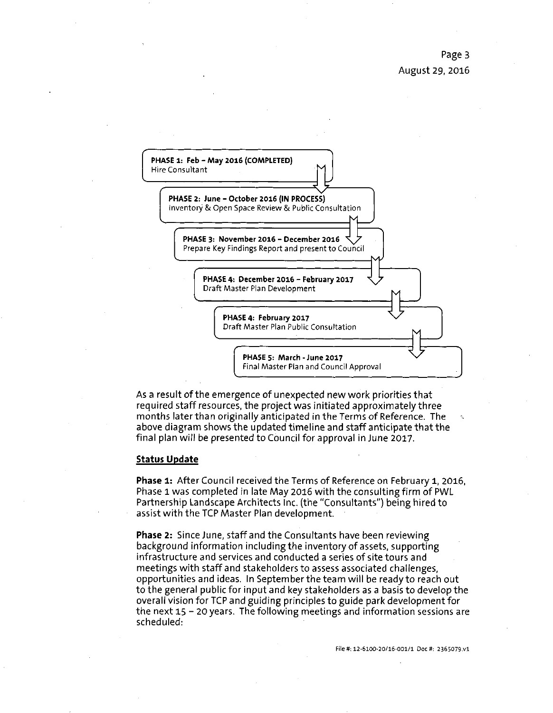

As a result of the emergence of unexpected new work priorities that required staff resources, the project was initiated approximately three months later than originally anticipated in the Terms of Reference. The above diagram shows the updated timeline and staff anticipate that the final plan will be presented to Council for approval in June 2017.

### **Status Update**

Phase 1: After Council received the Terms of Reference on February 1, 2016, Phase 1 was completed in late May 2016 with the consulting firm of PWL Partnership Landscape Architects Inc. (the "Consultants") being hired to assist with the TCP Master Plan development.

Phase 2: Since June, staff and the Consultants have been reviewing background information including the inventory of assets, supporting infrastructure and services and conducted a series of site tours and meetings with staff and stakeholders to assess associated challenges, opportunities and ideas. In September the team will be ready to reach out to the general public for input and key stakeholders as a basis to develop the overall vision for TCP and guiding principles to guide park development for the next 15 - 20 years. The following meetings and information sessions are scheduled: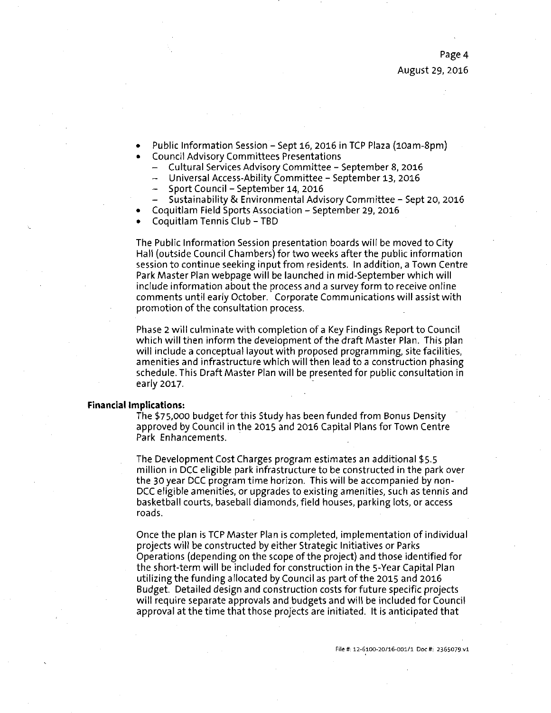- Public Information Session Sept 16, 2016 in TCP Plaza (10am-8pm)
- Council Advisory Committees Presentations
	- Cultural Services Advisory Committee September 8, 2016
	- Universal Access-Ability Committee September 13, 2016
	- Sport Council September 14, 2016
	- Sustainability & Environmental Advisory Committee Sept 20, 2016
- Coquitlam Field Sports Association September 29, 2016
- Coquitlam Tennis Club TBD

The Public Information Session presentation boards will be moved to City Hall (outside Council Chambers) for two weeks after the public information session to continue seeking input from residents. In addition, a Town Centre Park Master Plan webpage will be launched in mid-September which will include information about the process and a survey form to receive online comments until early October. Corporate Communications will assist with promotion of the consultation process.

Phase 2 will culminate with completion of a Key Findings Report to Council which will then inform the development of the draft Master Plan. This plan will include a conceptual layout with proposed programming, site facilities, amenities and infrastructure which will then lead to a construction phasing schedule. This Draft Master Plan will be presented for public consultation in early 2017.

### **Financial Implications:**

The \$75,000 budget for this Study has been funded from Bonus Density approved by Council in the 2015 and 2016 Capital Plans for Town Centre Park Enhancements.

The Development Cost Charges program estimates an additional \$5.5 million in DCC eligible park infrastructure to be constructed in the park over the 30 year DCC program time horizon. This will be accompanied by non-DCC eligible amenities, or upgrades to existing amenities, such as tennis and basketball courts, baseball diamonds, field houses, parking lots, or access roads.

Once the plan is TCP Master Plan is completed, implementation of individual projects will be constructed by either Strategic Initiatives or Parks Operations (depending on the scope of the project) and those identified for the short-term will be included for construction in the 5-Year Capital Plan utilizing the funding allocated by Council as part of the 2015 and 2016 Budget. Detailed design and construction costs for future specific projects will require separate approvals and budgets and will be included for Council approval at the time that those projects are initiated. It is anticipated that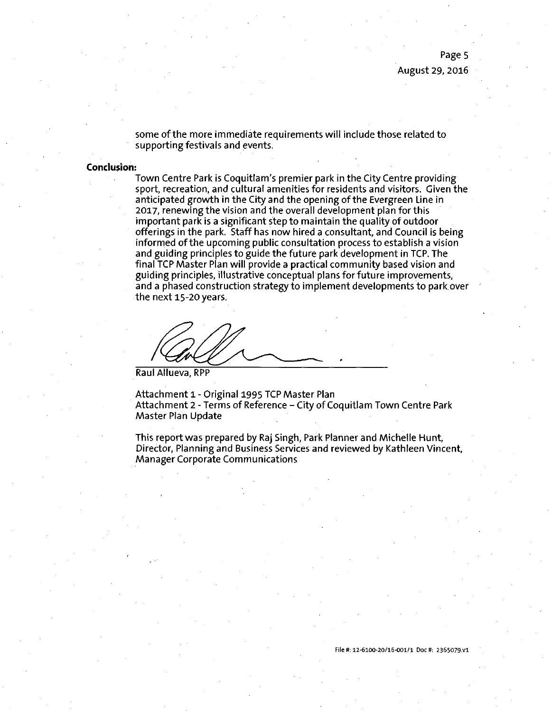some of the more immediate requirements will include those related to supporting festivals and events.

### **Conclusion:**

Town Centre Park is Coquitlam's premier park in the City Centre providing sport, recreation, and cultural amenities for residents and visitors. Given the anticipated growth in the City and the opening of the Evergreen Line in 2017, renewing the vision and the overall development plan for this important park is a significant step to maintain the quality of outdoor offerings in the park. Staff has now hired a consultant, and Council is being informed of the upcoming public consultation process to establish a vision and guiding principles to guide the future park development in TCP. The final TCP Master Plan will provide a practical community based vision and guiding principles, illustrative conceptual plans for future improvements, and a phased construction strategy to implement developments to park.over the next 15-20 years.

Raul Allueva, RPP

Attachment 1 - Original 1995 TCP Master Plan Attachment 2 - Terms of Reference - City of Coquitlam Town Centre Park Master Plan Update

This report was prepared by Raj 5ingh, Park Planner and Michelle Hunt, Director, Planning and Business 5ervices and reviewed by Kathleen Vincent, Manager Corporate Communications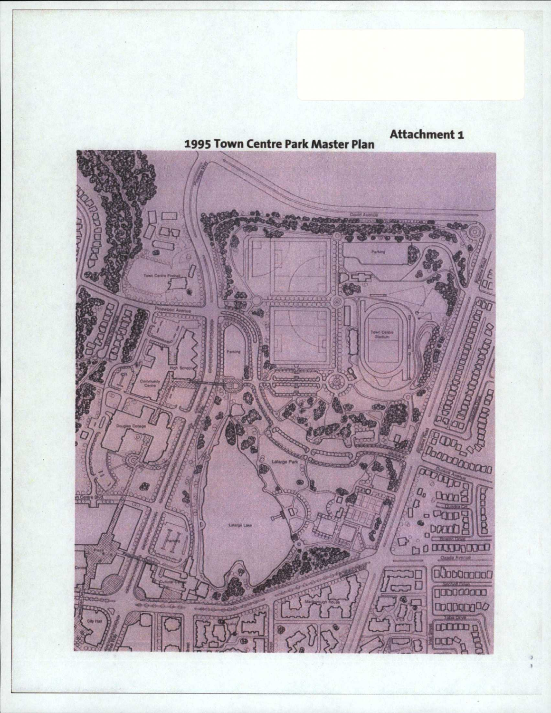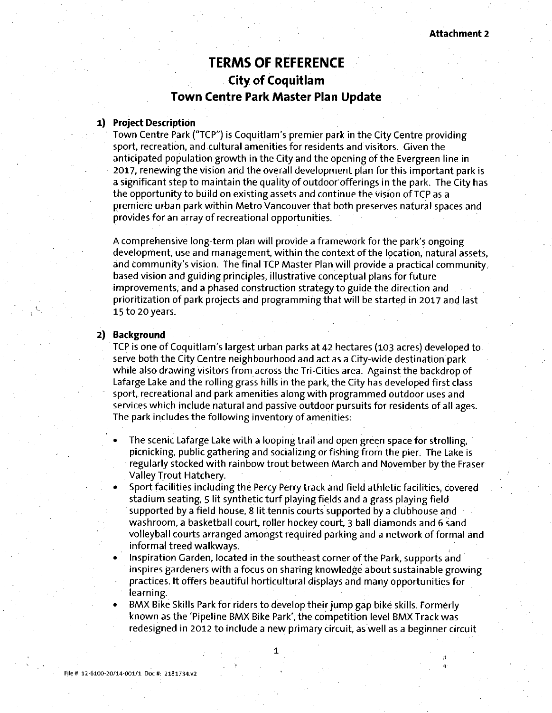## **TERMS OF REFERENCE City of Coquitlam Town Centre Park Master Plan Update**

### **1) Project Description**

Town Centre Park ("TCP") is Coquitlam's premier park in the City Centre providing sport, recreation, and cultural amenities for residents and visitors. Given the anticipated population growth in the City and the opening of the Evergreen line in 2017, renewing the vision arid the overall development plan for this important park is a significant step to maintain the quality of outdoor offerings in the park. The City has the opportunity to build on existing assets and continue the vision of TCP as a premiere urban park within Metro Vancouver that both preserves natural spaces and provides for an array of recreational opportunities.

A comprehensive long-term plan will provide a framework for the park's ongoing development, use and management, within the context of the location, natural assets, and community's vision. The final TCP Master Plan will provide a practical community, based vision and guiding principles, illustrative conceptual plans for future improvements, and a phased construction strategy to guide the direction and prioritization of park projects and programming that will be started in 2017 and last 15 to 20years.

### **2) Background**

 $\mathcal{L}$ .

TCP is one of Coquitlam's largest urban parks at 42 hectares (103 acres) developed to serve both the City Centre neighbourhood and act as a City-wide destination park while also drawing visitors from across the Tri-Cities area. Against the backdrop of Lafarge Lake and the rolling grass hills in the park, the City has developed first class sport, recreational and park amenities along with programmed outdoor uses and services which include natural and passive outdoor pursuits for residents of all ages. The park includes the following inventory of amenities:

- The scenic Lafarge Lake with a looping trail and open green space for strolling, picnicking, public gathering and socializing or fishing from the pier. The Lake is regularly stocked with rainbow trout between March and November by the Eraser Valley Trout Hatchery.
- Sport facilities including the Percy Perry track and field athletic facilities, covered stadium seating, 5 lit synthetic turf playing fields and a grass playing field supported by a field house, 8 lit tennis courts supported by a clubhouse and washroom, a basketball court, roller hockey court, 3 ball diamonds and 6 sand volleyball courts arranged amongst required parking and a network of formal and informal treed walkways.
- Inspiration Garden, located in the southeast corner of the Park, supports and inspires gardeners with a focus on sharing knowledge about sustainable growing practices. It offers beautiful horticultural displays and many opportunities for learning.
- BMX Bike Skills Park for riders to develop their jump gap bike skills. Formerly known as the 'Pipeline BMX Bike Park', the competition level BMX Track was redesigned in 2012 to include a new primary circuit, as well as a beginner circuit

**; - • 0 • ' A)•** 

*1*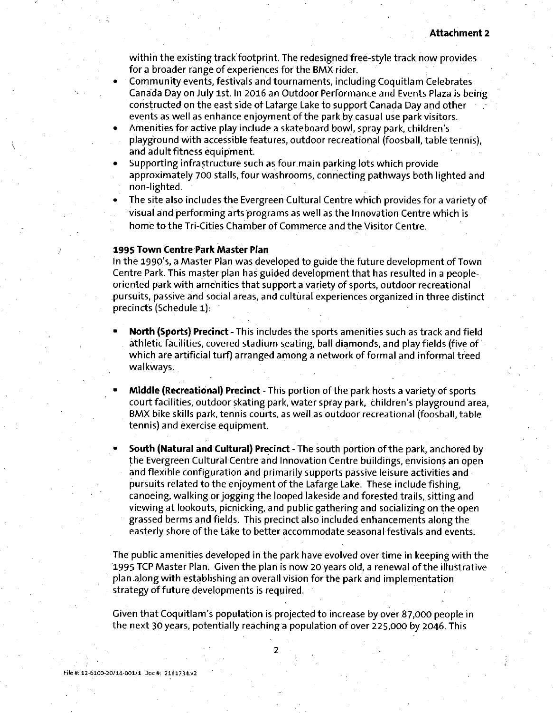within the existing track footprint. The redesigned free-style track now provides for a broader range of experiences for the BMX rider.

- Community events, festivals and tournaments, including Coquitlam Celebrates Canada Day on July 1st. In 2016 an Outdoor Performance and Events Plaza is being constructed on the east side of Lafarge Lake to support Canada Day and other events as well as enhance enjoyment of the park by casual use park visitors.
- Amenities for active play include a skateboard bowl, spray park, children's playground with accessible features, outdoor recreational (foosball, table tennis), and adult fitness equipment.
- Supporting infrastructure such as four main parking lots which provide approximately 700 stalls, four washrooms, connecting pathways both lighted and non-lighted.
- The site also includes the Evergreen Cultural Centre which provides for a variety of visual and performing arts programs as well as the Innovation Centre which is home to the Tri-Cities Chamber of Commerce and the Visitor Centre.

### **1995 Town Centre Park Master Plan**

In the I990's, a Master Plan was developed to guide the future development of ToWn Centre Park. This master plan has guided development that has resulted in a peopleoriented park with amenities that support a variety of sports, outdoor recreational pursuits, passive and social areas, and cultural experiences organized in three distinct precincts (Schedule 1):

- **North (Sports) Precinct** This includes the sports amenities such as track and field athletic facilities, covered stadium seating, ball diamonds, and play fields (five of which are artificial turf) arranged among a network of formal and informal treed walkways.
- Middle (Recreational) Precinct This portion of the park hosts a variety of sports court facilities, outdoor skating park, water spray park, children's playground area, BMX bike skills park, tennis courts, as well as outdoor recreational (foosball, table tennis) and exercise equipment.
- South (Natural and Cultural) Precinct The south portion of the park, anchored by the Evergreen Cultural Centre and Innovation Centre buildings, envisions an open and flexible configuration and primarily supports passive leisure activities and pursuits related to the enjoyment of the Lafarge Lake. These include fishing, canoeing, walking or jogging the looped lakeside and forested trails, sitting and viewing at lookouts, picnicking, and public gathering and socializing on the open grassed berms and fields. This precinct also included enhancements along the easterly shore of the Lake to better accommodate seasonal festivals and events.

The public amenities developed in the park have evolved over time in keeping with the 1995 TCP Master Plan. Given the plan is now 20 years old, a renewal of the illustrative plan along with establishing an overall vision for the park and implementation strategy of future developments is required.

Given that Coquitlam's population is projected to increase by over 87,000 people in the next 30 years, potentially reaching a population of over 225,000 by 2046. This

 $\overline{2}$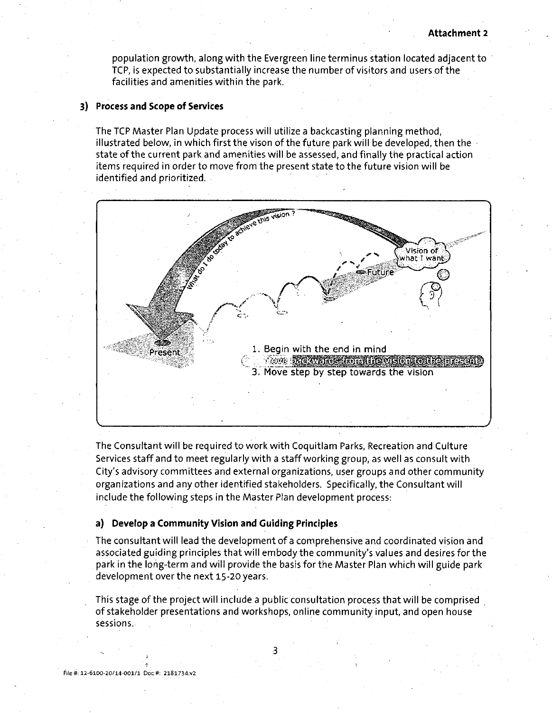population growth, along with the Evergreen line terminus station located adjacent to TCP, is expected to substantially increase the number of visitors and users of the facilities and amenities within the park.

### **3) Process and Scope of Services**

The TCP Master Plan Update process will utilize a backcasting planning method, illustrated below, in which first the vison of the future park will be developed, then the state of the current park and amenities will be assessed, and finally the practical action items required in order to move from the present state to the future vision will be identified and prioritized.



The Consultant will be required to work with Coquitlam Parks, Recreation and Culture Services staff and to meet regularly with a staff working group, as well as consult with City's advisory committees and external organizations, user groups and other community organizations and any other identified stakeholders. Specifically, the Consultant will include the following steps in the Master Plan development process:

### **a) Develop a Community Vision and Guiding Principles**

The consultant will lead the development of a comprehensive and coordinated vision and associated guiding principles that will embody the community's values and desires for the park in the long-term and will provide the basis for the Master Plan which will guide park development over the next 15-20 years.

This stage of the project will include a public consultation process that will be comprised of stakeholder presentations and workshops, online community input, and open house sessions.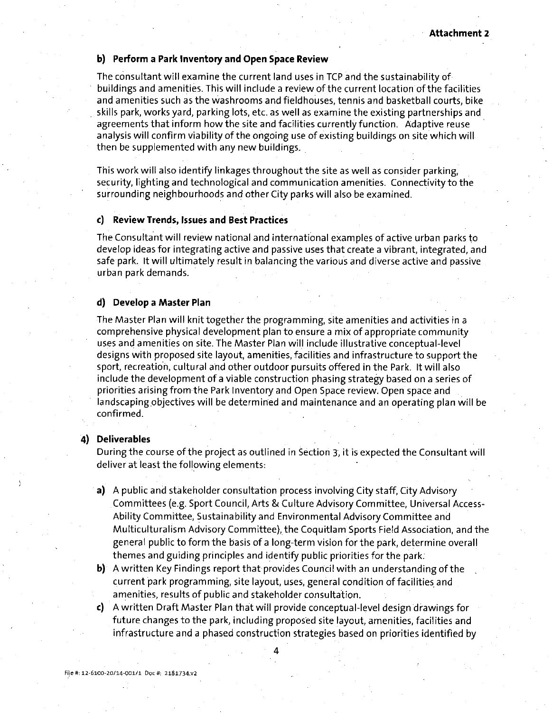### **b) Perform a Park Inventory and Open Space Review**

The consultant will examine the current land uses in TCP and the sustainability of buildings and amenities. This will include a review of the current location of the facilities and amenities such as the washrooms and fieldhouses, tennis and basketball courts, bike skills park, works yard, parking lots, etc. as well as examine the existing partnerships and agreements that inform how the site and facilities currently function. Adaptive reuse analysis will confirm viability of the ongoing use of existing buildings on site which will then be supplemented with any new buildings.

This work will also identify linkages throughout the site as well as consider parking, security, lighting and technological and communication amenities. Connectivity to the surrounding neighbourhoods and other City parks will also be examined.

### **c) Review Trends, Issues and Best Practices**

The Consultant will review national and international examples of active urban parks to develop ideas for integrating active and passive uses that create a vibrant, integrated, and safe park. It will ultimately result in balancing the various and diverse active and passive urban park demands.

### **d) Develop a Master Plan**

The Master Plan will knit together the programming, site amenities and activities in a comprehensive physical development plan to ensure a mix of appropriate community uses and amenities on site. The Master Plan will include illustrative conceptual-level designs with proposed site layout, amenities, facilities and infrastructure to support the sport, recreation, cultural and other outdoor pursuits offered in the Park. It will also include the development of a viable construction phasing strategy based on a series of priorities arising from the Park Inventory and Open Space review. Open space and landscaping objectives will be determined and maintenance and an operating plan will be confirmed.

### **4) Deliverables**

During the course of the project as outlined in Section 3, it is expected the Consultant will deliver at least the following elements:

- a) A public and stakeholder consultation process involving City staff, City Advisory Committees (e.g. Sport Council, Arts & Culture Advisory Committee, Universal Access-Ability Committee, Sustainability and Environmental Advisory Committee and Multiculturalism Advisory Committee), the Coquitlam Sports Field Association, and the general public to form the basis of a long-term vision for the park, determine overall themes and guiding principles and identify public priorities for the park.
- b) A written Key Findings report that provides Council with an understanding of the current park programming, site layout, uses, general condition of facilities and amenities, results of public and stakeholder consultation.
- c) A written Draft Master Plan that will provide conceptual-level design drawings for future changes to the park, including proposed site layout, amenities, facilities and infrastructure and a phased construction strategies based on priorities identified by